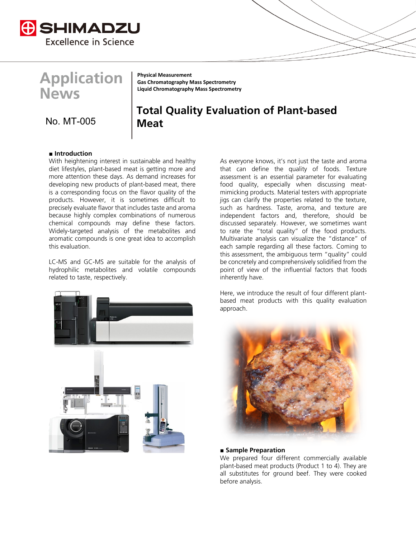

**Application News** 

**Physical Measurement Gas Chromatography Mass Spectrometry Liquid Chromatography Mass Spectrometry**

## No. MT **Meat** -005

# **Total Quality Evaluation of Plant-based**

### **■ Introduction**

With heightening interest in sustainable and healthy diet lifestyles, plant-based meat is getting more and more attention these days. As demand increases for developing new products of plant-based meat, there is a corresponding focus on the flavor quality of the products. However, it is sometimes difficult to precisely evaluate flavor that includes taste and aroma because highly complex combinations of numerous chemical compounds may define these factors. Widely-targeted analysis of the metabolites and aromatic compounds is one great idea to accomplish this evaluation.

LC-MS and GC-MS are suitable for the analysis of hydrophilic metabolites and volatile compounds related to taste, respectively.



As everyone knows, it's not just the taste and aroma that can define the quality of foods. Texture assessment is an essential parameter for evaluating food quality, especially when discussing meatmimicking products. Material testers with appropriate jigs can clarify the properties related to the texture, such as hardness. Taste, aroma, and texture are independent factors and, therefore, should be discussed separately. However, we sometimes want to rate the "total quality" of the food products. Multivariate analysis can visualize the "distance" of each sample regarding all these factors. Coming to this assessment, the ambiguous term "quality" could be concretely and comprehensively solidified from the point of view of the influential factors that foods inherently have.

Here, we introduce the result of four different plantbased meat products with this quality evaluation approach.



#### **■ Sample Preparation**

We prepared four different commercially available plant-based meat products (Product 1 to 4). They are all substitutes for ground beef. They were cooked before analysis.